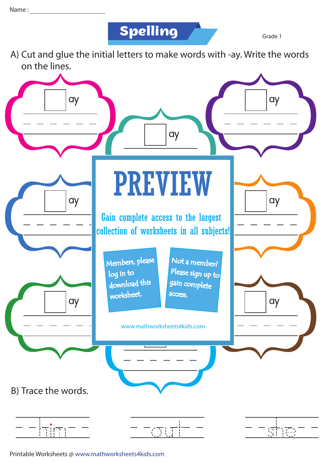**Spelling**

Grade 1

Cut and glue the initial letters to make words with -ay. Write the words A) on the lines.



Printable Worksheets @ www.mathworksheets4kids.com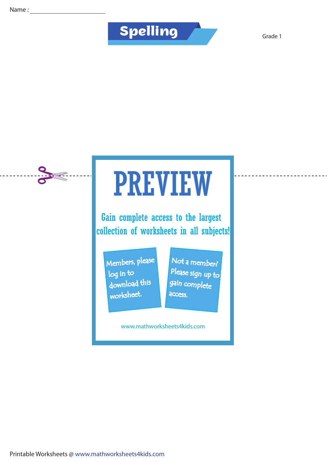## **Spelling** Grade 1